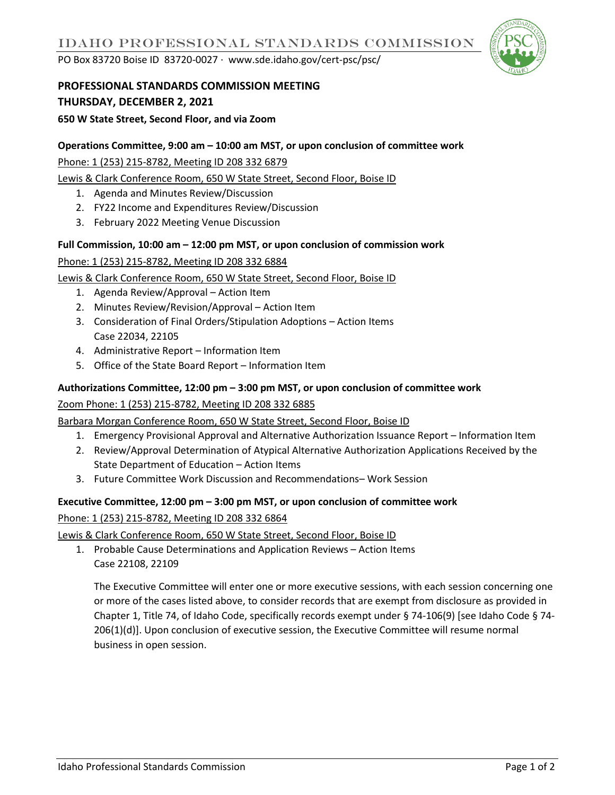PO Box 83720 Boise ID 83720-0027 ∙ www.sde.idaho.gov/cert-psc/psc/



# **PROFESSIONAL STANDARDS COMMISSION MEETING THURSDAY, DECEMBER 2, 2021**

**650 W State Street, Second Floor, and via Zoom**

### **Operations Committee, 9:00 am – 10:00 am MST, or upon conclusion of committee work**

Phone: 1 (253) 215-8782, Meeting ID 208 332 6879

Lewis & Clark Conference Room, 650 W State Street, Second Floor, Boise ID

- 1. Agenda and Minutes Review/Discussion
- 2. FY22 Income and Expenditures Review/Discussion
- 3. February 2022 Meeting Venue Discussion

## **Full Commission, 10:00 am – 12:00 pm MST, or upon conclusion of commission work**

Phone: 1 (253) 215-8782, Meeting ID 208 332 6884

### Lewis & Clark Conference Room, 650 W State Street, Second Floor, Boise ID

- 1. Agenda Review/Approval Action Item
- 2. Minutes Review/Revision/Approval Action Item
- 3. Consideration of Final Orders/Stipulation Adoptions Action Items Case 22034, 22105
- 4. Administrative Report Information Item
- 5. Office of the State Board Report Information Item

## **Authorizations Committee, 12:00 pm – 3:00 pm MST, or upon conclusion of committee work**

### Zoom Phone: 1 (253) 215-8782, Meeting ID 208 332 6885

Barbara Morgan Conference Room, 650 W State Street, Second Floor, Boise ID

- 1. Emergency Provisional Approval and Alternative Authorization Issuance Report Information Item
- 2. Review/Approval Determination of Atypical Alternative Authorization Applications Received by the State Department of Education – Action Items
- 3. Future Committee Work Discussion and Recommendations– Work Session

### **Executive Committee, 12:00 pm – 3:00 pm MST, or upon conclusion of committee work**

Phone: 1 (253) 215-8782, Meeting ID 208 332 6864

Lewis & Clark Conference Room, 650 W State Street, Second Floor, Boise ID

1. Probable Cause Determinations and Application Reviews – Action Items Case 22108, 22109

The Executive Committee will enter one or more executive sessions, with each session concerning one or more of the cases listed above, to consider records that are exempt from disclosure as provided in Chapter 1, Title 74, of Idaho Code, specifically records exempt under § 74-106(9) [see Idaho Code § 74- 206(1)(d)]. Upon conclusion of executive session, the Executive Committee will resume normal business in open session.